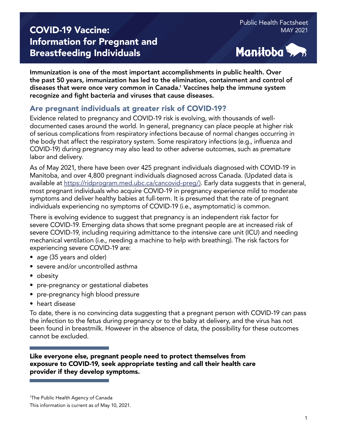# **COVID-19 Vaccine:** MAY 2021 Information for Pregnant and Breastfeeding Individuals



Immunization is one of the most important accomplishments in public health. Over the past 50 years, immunization has led to the elimination, containment and control of diseases that were once very common in Canada.1 Vaccines help the immune system recognize and fight bacteria and viruses that cause diseases.

## Are pregnant individuals at greater risk of COVID-19?

Evidence related to pregnancy and COVID-19 risk is evolving, with thousands of welldocumented cases around the world. In general, pregnancy can place people at higher risk of serious complications from respiratory infections because of normal changes occurring in the body that affect the respiratory system. Some respiratory infections (e.g., influenza and COVID-19) during pregnancy may also lead to other adverse outcomes, such as premature labor and delivery.

As of May 2021, there have been over 425 pregnant individuals diagnosed with COVID-19 in Manitoba, and over 4,800 pregnant individuals diagnosed across Canada. (Updated data is available at [https://ridprogram.med.ubc.ca/cancovid-preg/\).](https://ridprogram.med.ubc.ca/cancovid-preg/) Early data suggests that in general, most pregnant individuals who acquire COVID-19 in pregnancy experience mild to moderate symptoms and deliver healthy babies at full-term. It is presumed that the rate of pregnant individuals experiencing no symptoms of COVID-19 (i.e., asymptomatic) is common.

There is evolving evidence to suggest that pregnancy is an independent risk factor for severe COVID-19. Emerging data shows that some pregnant people are at increased risk of severe COVID-19, including requiring admittance to the intensive care unit (ICU) and needing mechanical ventilation (i.e., needing a machine to help with breathing). The risk factors for experiencing severe COVID-19 are:

- age (35 years and older)
- severe and/or uncontrolled asthma
- obesity
- pre-pregnancy or gestational diabetes
- pre-pregnancy high blood pressure
- heart disease

To date, there is no convincing data suggesting that a pregnant person with COVID-19 can pass the infection to the fetus during pregnancy or to the baby at delivery, and the virus has not been found in breastmilk. However in the absence of data, the possibility for these outcomes cannot be excluded.

Like everyone else, pregnant people need to protect themselves from exposure to COVID-19, seek appropriate testing and call their health care provider if they develop symptoms.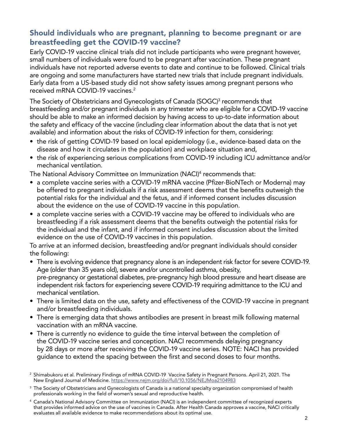## Should individuals who are pregnant, planning to become pregnant or are breastfeeding get the COVID-19 vaccine?

Early COVID-19 vaccine clinical trials did not include participants who were pregnant however, small numbers of individuals were found to be pregnant after vaccination. These pregnant individuals have not reported adverse events to date and continue to be followed. Clinical trials are ongoing and some manufacturers have started new trials that include pregnant individuals. Early data from a US-based study did not show safety issues among pregnant persons who received mRNA COVID-19 vaccines.2

The Society of Obstetricians and Gynecologists of Canada (SOGC)<sup>3</sup> recommends that breastfeeding and/or pregnant individuals in any trimester who are eligible for a COVID-19 vaccine should be able to make an informed decision by having access to up-to-date information about the safety and efficacy of the vaccine (including clear information about the data that is not yet available) and information about the risks of COVID-19 infection for them, considering:

- the risk of getting COVID-19 based on local epidemiology (i.e., evidence-based data on the disease and how it circulates in the population) and workplace situation and,
- the risk of experiencing serious complications from COVID-19 including ICU admittance and/or mechanical ventilation.

The National Advisory Committee on Immunization (NACI)4 recommends that:

- a complete vaccine series with a COVID-19 mRNA vaccine (Pfizer-BioNTech or Moderna) may be offered to pregnant individuals if a risk assessment deems that the benefits outweigh the potential risks for the individual and the fetus, and if informed consent includes discussion about the evidence on the use of COVID-19 vaccine in this population.
- a complete vaccine series with a COVID-19 vaccine may be offered to individuals who are breastfeeding if a risk assessment deems that the benefits outweigh the potential risks for the individual and the infant, and if informed consent includes discussion about the limited evidence on the use of COVID-19 vaccines in this population.

To arrive at an informed decision, breastfeeding and/or pregnant individuals should consider the following:

- There is evolving evidence that pregnancy alone is an independent risk factor for severe COVID-19. Age (older than 35 years old), severe and/or uncontrolled asthma, obesity, pre-pregnancy or gestational diabetes, pre-pregnancy high blood pressure and heart disease are independent risk factors for experiencing severe COVID-19 requiring admittance to the ICU and mechanical ventilation.
- There is limited data on the use, safety and effectiveness of the COVID-19 vaccine in pregnant and/or breastfeeding individuals.
- There is emerging data that shows antibodies are present in breast milk following maternal vaccination with an mRNA vaccine.
- There is currently no evidence to guide the time interval between the completion of the COVID-19 vaccine series and conception. NACI recommends delaying pregnancy by 28 days or more after receiving the COVID-19 vaccine series. NOTE: NACI has provided guidance to extend the spacing between the first and second doses to four months.

<sup>2</sup> Shimabukoru et al. Preliminary Findings of mRNA COVID-19 Vaccine Safety in Pregnant Persons. April 21, 2021. The New England Journal of Medicine.<https://www.nejm.org/doi/full/10.1056/NEJMoa2104983>

<sup>&</sup>lt;sup>3</sup> The Society of Obstetricians and Gynecologists of Canada is a national specialty organization compromised of health professionals working in the field of women's sexual and reproductive health.

<sup>4</sup> Canada's National Advisory Committee on Immunization (NACI) is an independent committee of recognized experts that provides informed advice on the use of vaccines in Canada. After Health Canada approves a vaccine, NACI critically evaluates all available evidence to make recommendations about its optimal use.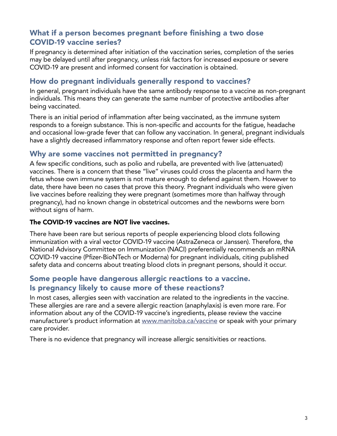## What if a person becomes pregnant before finishing a two dose COVID-19 vaccine series?

If pregnancy is determined after initiation of the vaccination series, completion of the series may be delayed until after pregnancy, unless risk factors for increased exposure or severe COVID-19 are present and informed consent for vaccination is obtained.

## How do pregnant individuals generally respond to vaccines?

In general, pregnant individuals have the same antibody response to a vaccine as non-pregnant individuals. This means they can generate the same number of protective antibodies after being vaccinated.

There is an initial period of inflammation after being vaccinated, as the immune system responds to a foreign substance. This is non-specific and accounts for the fatigue, headache and occasional low-grade fever that can follow any vaccination. In general, pregnant individuals have a slightly decreased inflammatory response and often report fewer side effects.

#### Why are some vaccines not permitted in pregnancy?

A few specific conditions, such as polio and rubella, are prevented with live (attenuated) vaccines. There is a concern that these "live" viruses could cross the placenta and harm the fetus whose own immune system is not mature enough to defend against them. However to date, there have been no cases that prove this theory. Pregnant individuals who were given live vaccines before realizing they were pregnant (sometimes more than halfway through pregnancy), had no known change in obstetrical outcomes and the newborns were born without signs of harm.

#### The COVID-19 vaccines are NOT live vaccines.

There have been rare but serious reports of people experiencing blood clots following immunization with a viral vector COVID-19 vaccine (AstraZeneca or Janssen). Therefore, the National Advisory Committee on Immunization (NACI) preferentially recommends an mRNA COVID-19 vaccine (Pfizer-BioNTech or Moderna) for pregnant individuals, citing published safety data and concerns about treating blood clots in pregnant persons, should it occur.

### Some people have dangerous allergic reactions to a vaccine. Is pregnancy likely to cause more of these reactions?

In most cases, allergies seen with vaccination are related to the ingredients in the vaccine. These allergies are rare and a severe allergic reaction (anaphylaxis) is even more rare. For information about any of the COVID-19 vaccine's ingredients, please review the vaccine manufacturer's product information at [www.manitoba.ca/vaccine](https://manitoba.ca/covid19/vaccine/index.html) or speak with your primary care provider.

There is no evidence that pregnancy will increase allergic sensitivities or reactions.